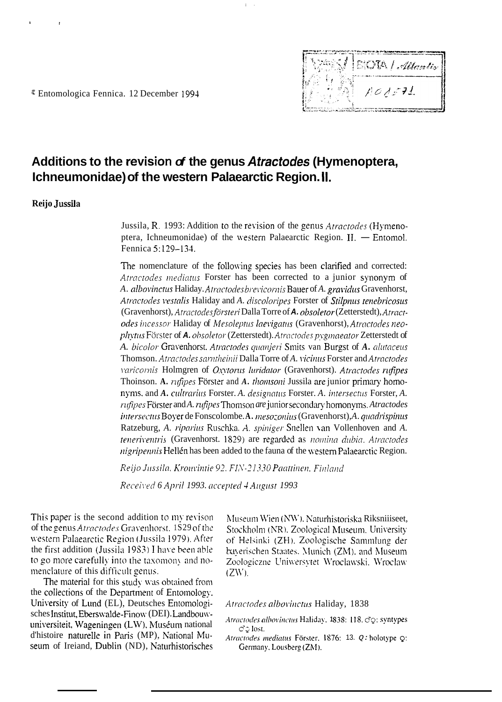Entomologica Fennica. 12 December 1991

# **Additions to the revision** *of* **the genus** *Atractodes* **(Hymenoptera, Ichneumonidae) of the western Palaearctic Region. II.**

# **Reijo Jussila**

Jussila, R. 1993: Addition to the revision of the genus *Atractodes* (Hymeno-Jussila, R. 1993: Addition to the revision of the genus *Atractodes* (Hymeno-<br>ptera, Ichneumonidae) of the western Palaearctic Region. II. — Entomol. Fennica *5:* 129-131.

The nomenclature of the following species has been clarified and corrected: Atractodes mediatus Forster has been corrected to a junior synonym of A. albovinctus Haliday. *Atractodes brevicornis* Bauer of A. gravidus Gravenhorst, *Atrncrocles iwtcilis* Haliday and *A. discoloripes* Forster of *Stilpriiis tenebricosiis*  (Gravenhorst), *Atractodes försteri* Dalla Torre of *A. obsoletor* (Zetterstedt), *Atract*odes incessor Haliday of Mesoleptus laevigatus (Gravenhorst), *Atractodes neopligiis* Forster of *A. ohsoleror* (Zetterstedt). *Arrnctodes p~gnineator-* Zetterstedt of A. *bicolor* Gravenhorst. *Atractodes quanjeri* Smits van Burgst of A. *alutaceus* Thomson. *Arrnctodes snnitlieiriii* Dalla Torre of *A. \.iririris* Forster and *Arractodes varicornis* Holmgren of *Oxytorus luridator* (Gravenhorst). *Atractodes rufipes* Thoinson. A. *rufipes* Förster and *A. thomsoni* Jussila are junior primary homonyms, and A. cultrarius Forster. A. designatus Forster. A. intersectus Forster, A. *rufipes Förster and A. rufipes Thomson are junior secondary homonyms. Atractodes intersectus* Boyer de Fonscolombe. A. *mesozonius* (Gravenhorst), A. *quadrispinus* Ratzeburg, *A. riparius Ruschka. A. spiniger Snellen van Vollenhoven and A. teneriventris* (Gravenhorst. 1829) are regarded as *nomina dubia. Atractodes nigripennis* Hellén has been added to the fauna of the western Palaearctic Region.

*Reijo Jirssila. Kroir1,iritie* 92. *FI'Y-21-3-30 Pricitri/ie/i, Firilntid* 

*Receiid 6 April 1993. trccrprí1-i Aiigiist 1993* 

This paper is the second addition to my revison of the genus *Atractodes* Gravenhorst. 1S29 of the western Palaearctic Region (Jussila 1979). After the first addition (Jussila 1983) I have been able to go more carefully into the taxomony and nomenclature of this difficult genus.

The material for this study was obtained from the collections of the Department of Entomology. University of Lund (EL), Deutsches Entomologisches Institut, Eberswalde-Finow (DEI). Landbouwuniversiteit, Wageningen (LW), Muséum national d'histoire naturelle in Paris (MP), National Museum of Ireiand, Dublin (ND), Naturhistorisches Museum Wien (NW). Naturhistoriska Riksniiiseet, Stockholm (NR). Zoological Museum. University of Helsinki (ZH). Zoologische Sammlung der bayerischen Staates. Munich (ZM). and Museum Zoologiczne Uniwersytet Wroclawski. Wroclaw  $(ZW)$ .

# Atractodes albovinctus Haliday, 1838

- *,4nnrrorles* d/~oi~im-i~~r Halidriy. **1** S3S: **1 18. d~: syntypcs (2-2** lost.
- *Arr~rcroílrs wrdiatcis* Forster. 1876: 13. *Q:* **holoiyps** *Q:*  Germany, Lousberg (ZM).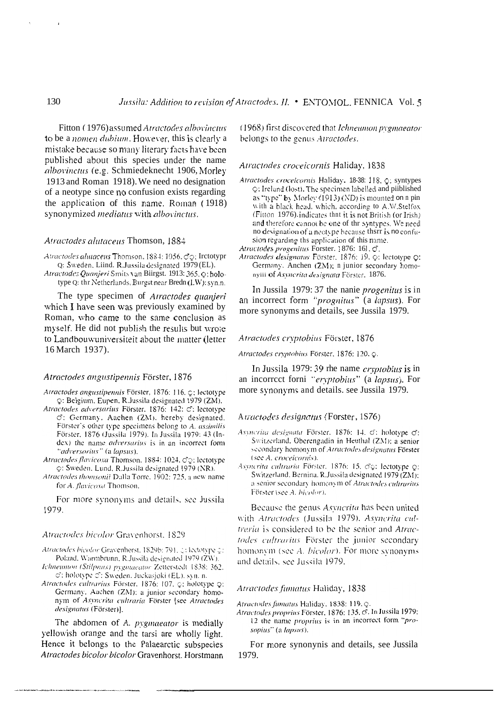Fitton (1976) assumed Atractodes albovinctus to be a nomen dubium. However, this is clearly a mistake because so many literary facts have been published about this species under the name albovinctus (e.g. Schmiedeknecht 1906, Morley 1913 and Roman 1918). We need no designation of a neotype since no confusion exists regarding the application of this name. Roman (1918) synonymized *mediatus* with albovinctus.

# Atractodes alutaceus Thomson, 1884

- Atractodes alutaceus Thomson, 1884: 1056, CQ; Irctotypr Q: Sweden, Liind. R.Jussila designated 1979 (EL).
- Atractodes Quanjeri Smits van Biirgst. 1913: 365, O; holotype Q: thr Netherlands, Burgst near Bredn (LW); syn.n.

The type specimen of Atractodes quanjeri which I have seen was previously examined by Roman, who came to the same conclusion as myself. He did not publish the results but wrote to Landbouwuniversiteit about the matter (letter 16 March 1937).

### Atractodes angustipennis Förster, 1876

- Atractodes angustipennis Förster, 1876: 116. c: lectotype Q: Belgium, Eupen, R.Jussila designated 1979 (ZM).
- Atractodes adversarius Förster, 1876: 142: C: lectotype C: Germany, Aachen (ZM), hereby designated. Förster's other type specimens belong to A. assimilis Förster, 1876 (Jussila 1979). In Jussila 1979: 43 (Index) the name *adversarius* is in an incorrect form "adversorius" (a lapsus).
- Atractodes flavicoxa Thomson, 1884: 1024, OQ; lectotype Q: Sweden, Lund, R.Jussila designated 1979 (NR).
- Atractodes thomsonii Dalla Torre, 1902: 725, a new name for A. flavicoxa Thomson.

For more synonyms and details, see Jussila 1979.

# Atractodes bicolor Gravenhorst, 1829

- Atractodes bicolor Gravenborst, 1829b; 791, 0: lectotype 0: Poland, Warmbrunn, R.Jussila designated 1979 (ZW).
- Ichneumon (Stilpnus) pygmaeator Zetterstedt 1838: 362. ○; holotype ○: Sweden, Juckasjoki (EL), syn. n.
- Atractodes cultrarius Förster, 1876; 107, Q; holotype Q; Germany. Aachen (ZM); a junior secondary homonym of Asyncrita cultraria Förster [see Atractodes designatus (Förster)].

The abdomen of A. *pygmaeator* is medially yellowish orange and the tarsi are wholly light. Hence it belongs to the Palaearctic subspecies Atractodes bicolor bicolor Gravenhorst. Horstmann (1968) first discovered that Ichneumon pygmaeator belongs to the genus Atractodes.

#### Atractodes croceicornis Haliday, 1838

Atractodes croceicornis Haliday. 18-38: 118. O: syntypes Q: Ireland (lost). The specimen labelled and piiblished as "type" by Morley (1913) (ND) is mounted on n pin with a black head, which, according to A.W.Stelfox (Fitton 1976) indicates that it is not British (or Irish) and therefore cannot be one of thr syntypes. We need no designation of a neotype because thsrr is no confusion regarding ths application of this name.

Atractodes progenitus Forster. 1876: 161.0.

Atractodes designatus Förster, 1876: 19, Q: lectotype Q: Germany, Anchen (ZM); n junior secondary homonyiii of Asyncrita designata Förster. 1876.

In Jussila 1979: 37 the nanie progenitus is in an incorrect form "prognitus" (a lapsus). For more synonyms and details, see Jussila 1979.

### Atractodes cryptobius Förster, 1876

Atractodes cryptobius Förster, 1876: 120, Q.

In Jussila 1979: 39 rhe name cryptobius is in an incorrect forni "eryptobius" (a lapsus). For more synonyms and details. see Jussila 1979.

#### A tractodes designatus (Forster, 1S76)

- Asyncrita designata Förster, 1876: 14, O: holotype O: Switzerland, Oberengadin in Heuthal (ZM); a senior secondary homonym of Atractodes designatus Förster (see A. croceicornis).
- Asyncrita cultraria Förster, 1876: 15. CO; lectotype O; Switzerland, Bernina, R.Jussila designated 1979 (ZM); a senior secondary homonym of Atractodes cultrarius Förster (see A. bicolor).

Because the genus Asyncrita has been united with Atractodes (Jussila 1979), Asyncrita cul*traria* is considered to be the senior and *Atrac*todes cultrarius Förster the junior secondary homonym (see A. bicolor). For more synonyms and details, see Jussila 1979.

#### Atractodes fumatus Haliday, 1838

Atractodes fumatus Haliday, 1838: 119. Q.

Atractodes proprius Förster, 1876: 135, c. In Jussila 1979: 12 the name *proprius* is in an incorrect form "*pro*sopius" (a lapsus).

For more synonynis and details, see Jussila 1979.

#### 130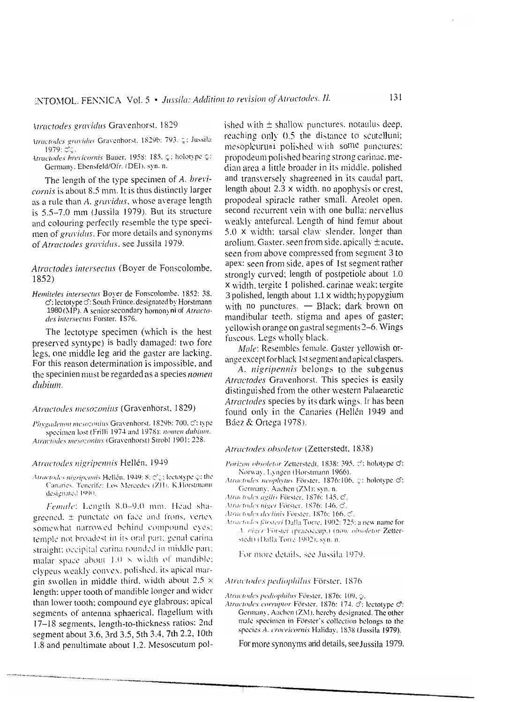Atractodes gravidus Gravenhorst, 1829

Atractodes gravidus Gravenhorst, 1829b; 793,  $\square$ ; Jussila 1979: ごこ.

Atractodes brevicornis Bauer, 1958: 185,  $\zeta$ : holotype  $\zeta$ : Germany, Ebensfeld/Ofr. (DEI), syn. n.

The length of the type specimen of A. brevicornis is about 8.5 mm. It is thus distinctly larger as a rule than A. gravidus, whose average length is 5.5-7.0 mm (Jussila 1979). But its structure and colouring perfectly resemble the type specimen of gravidus. For more details and synonyms of Atractodes gravidus, see Jussila 1979.

Atractodes intersectus (Boyer de Fonscolombe, 1852)

Hemiteles intersectus Boyer de Fonscolombe. 1852: 38. c': lectotype c': South Frünce. designated by Horstmann 1980 (MP). A senior secondary homonyni of Atractodes intersectus Forster. 1S76.

The lectotype specimen (which is the hest preserved syntype) is badly damaged: two fore legs, one middle leg arid the gaster are lacking. For this reason determination is impossible, and the specinien must be regarded as a species *nomen* dubium.

Atractodes mesozonius (Gravenhorst, 1829)

Phygadenon mesozonius Gravenhorst, 1829b; 700, c': type specimen lost (Frilli 1974 and 1978): nomen dubium. Atractodes mesozonius (Gravenhorst) Strobl 1901: 228.

# Atractodes nigripennis Hellén, 1949

Atractodes nigripennis Hellén, 1949; 8, c'at lectotype q: the Canaries. Tenerife: Los Mercedes (ZH). K.Horstmann designated 1990.

Female: Length 8.0-9.0 mm. Head shagreened, ± punctate on face and froms, vertex somewhat narrowed behind compound eyes; temple not broadest in its oral part; genal carina straight; occipital carina rounded in middle part; malar space about  $1.0 \times$  width of mandible; elypeus weakly convex, polished, its apical margin swollen in middle third, width about 2.5  $\times$ length; upper tooth of mandible longer and wider than lower tooth; compound eye glabrous; apical segments of antenna sphaerical. flagellum with 17-18 segments, length-to-thickness ratios: 2nd segment about 3.6, 3rd 3.5, 5th 3.4, 7th 2.2, 10th 1.8 and penultimate about 1.2. Mesoscutum polished with  $\pm$  shallow punctures, notaulus deep, reaching only 0.5 the distance to scutelluni; mesopleurumi polished with some punctures: propodeum polished bearing strong carinae. median area a little broader in its middle, polished and transversely shagreened in its caudal part, length about  $2.3 \times$  width, no apophysis or crest, propodeal spiracle rather small. Areolet open. second recurrent vein with one bulla; nervellus weakly antefurcal. Length of hind femur about  $5.0 \times$  width: tarsal claw slender, longer than arolium. Gaster, seen from side, apically  $\pm$  acute, seen from above compressed from segment 3 to apex: seen from side, apes of 1st segment rather strongly curved; length of postpetiole about 1.0 x width, tergite 1 polished, carinae weak; tergite 3 polished, length about 1.1 x width; hypopygium with no punctures. - Black; dark brown on mandibular teeth, stigma and apes of gaster; yellowish orange on gastral segments 2-6. Wings fuscous. Legs wholly black.

Male: Resembles female. Gaster yellowish orange except for black 1st segment and apical claspers.

A. *nigripennis* belongs to the subgenus Atractodes Gravenhorst. This species is easily distinguished from the other western Palaearctic Atractodes species by its dark wings. It has been found only in the Canaries (Hellén 1949 and Báez & Ortega 1978).

# Atractodes obsoletor (Zetterstedt, 1838)

- Porizon obsoletor Zetterstedt, 1838: 395, 5: holotype 0: Norway, Lyngen (Horstmann 1966).
- Atractodes neophytus Förster, 1876:106, c: holotype o: Germany, Aachen (ZM); syn. n.
- Atractodes agilis Förster, 1876: 145. C.
- Atractodes niger Förster, 1876: 146, G.
- Atractodes declinis Förster, 1876; 166, C.
- Atractodes försteri Dalla Torre, 1902: 725; a new name for A. niger Förster (praeoccup.) (now obsoletor Zetterstedt) (Dalla Torre 1902); syn. n.

For more details, see Jussila 1979.

# Atractodes pediophilus Förster, 1876

Atractodes pediophilus Förster, 1876: 109, Q.

Atractodes corruptor Förster, 1876: 174. G; lectotype G: Germany, Aachen (ZM), hereby designated. The other male specimen in Förster's collection belongs to the species A. croceicornis Haliday, 1838 (Jussila 1979).

For more synonyms and details, see Jussila 1979.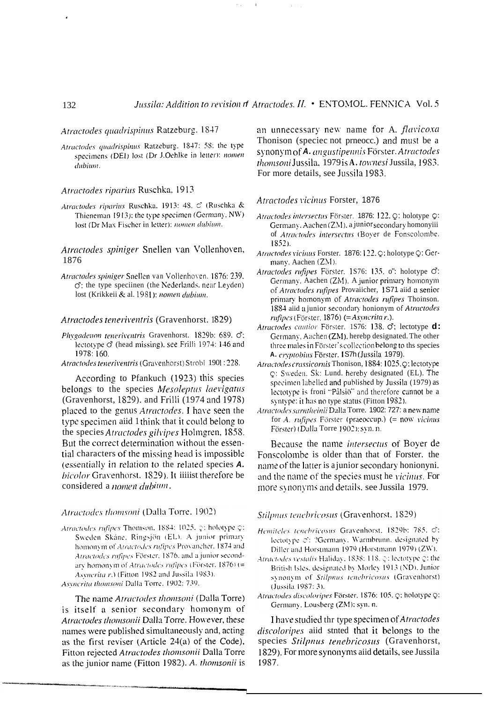# Atractodes quadrispinus Ratzeburg. 1847

Atractodes quadrispinus Ratzeburg, 1847: 58; the type specimens (DEI) lost (Dr J.Oehlke in letter): nomen dubium.

### Atractodes riparius Ruschka, 1913

Atractodes riparius Ruschka, 1913: 48, C (Ruschka & Thieneman 1913); the type specimen (Germany, NW) lost (Dr Max Fischer in letter): nomen dubium.

# Atractodes spiniger Snellen van Vollenhoven, 1876

Atractodes spiniger Snellen van Vollenhoven. 1876: 239,  $\sigma$ ; the type speciinen (the Nederlands, near Leyden) lost (Krikkeii & al. 1981): nomen dubium.

#### Atractodes teneriventris (Gravenhorst. 1829)

Phygadeuon teneriventris Gravenhorst. 1829b: 689. O: lectotype o' (head missing), see Frilli 1974: 146 and 1978: 160.

Atractodes teneriventris (Gravenhorst) Strobl 1901:228.

According to Pfankuch (1923) this species belongs to the species Mesoleptus laevigatus (Gravenhorst, 1829). and Frilli (1974 and 1978) placed to the genus Atractodes. I have seen the type specimen aiid 1 think that it could belong to the species *Atractodes gilvipes* Holmgren, 1858. But the correct determination without the essential characters of the missing head is impossible. (essentially in relation to the related species A. bicolor Gravenhorst. 1829). It iiiiist therefore be considered a nomen dubium.

#### Atractodes thomsoni (Dalla Torre, 1902)

Atractodes rufipes Thomson, 1884; 1025,  $\square$ ; holotype  $\square$ ; Sweden Skåne, Ringsjön (EL). A junior primary homonym of Atractodes rufipes Provancher, 1874 and Atractodes rufipes Förster, 1876, and a junior secondary homonym of Atractodes rufipes (Förster, 1876) (= Asyncrita r.) (Fitton 1982 and Jussila 1983).

Asyncrita thomsoni Dalla Torre. 1902: 739.

The name Atractodes thomsoni (Dalla Torre) is itself a senior secondary homonym of Atractodes thomsonii Dalla Torre. However, these names were published simultaneously and, acting as the first reviser (Article  $24(a)$  of the Code), Fitton rejected Atractodes thomsonii Dalla Torre as the junior name (Fitton 1982). A. thomsonii is

an unnecessary new name for A. flavicoxa Thonison (speciec not prneocc.) and must be a synonym of A. angustipennis Förster. Atractodes thomsoni Jussila, 1979 is A. townesi Jussila, 1983. For more details, see Jussila 1983.

#### Atractodes vicinus Forster, 1876

- Atractodes intersectus Förster. 1876: 122. Q; holotype Q: Germany, Aachen (ZM), a junior secondary homonyiii of Atractodes intersectus (Boyer de Fonscolombe,  $1852$ ).
- Atractodes vicinus Forster. 1876: 122. Q: holotype Q: Germany, Aachen (ZM).
- Atractodes rufipes Förster. 1S76: 135. o": holotype O: Germany, Aachen (ZM). A junior primary homonym of Atractodes rufipes Provaiicher, 1S71 aiid a senior primary homonym of Atractodes rufipes Thoinson. 1884 aiid a junior secondary honionym of Atractodes rufipes (Förster, 1876)  $(=Asyncrita r.).$
- Atractodes cautior Förster. 1S76: 138. O; lectotype d: Germany, Aachen (ZM). herebp designated. The other three males in Förster's collection belong to ths species A. cryptobius Förster. IS7h (Jussila 1979).
- Atractodes crassicornis Thonison, 1884: 1025. Q: lectotype Q: Sweden, Sk: Lund. hereby designated (EL). The specimen labelled and published by Jussila (1979) as lectotype is froni "Pålsiö" and therefore cannot be a syntype: it has no type status (Fitton 1982).
- Atractodes sarutheinii Dalla Torre. 1902: 727: a new name for A. rufipes Förster (praeoccup.) (= now vicinus Förster) (Dalla Torre 1902); syn. n.

Because the name *intersectus* of Boyer de Fonscolombe is older than that of Forster, the name of the latter is a junior secondary honionyni. and the name of the species must he vicinus. For more synonyms and details, see Jussila 1979.

# Stilpnus tenebricosus (Gravenhorst, 1829)

- Hemiteles tenebricosus Gravenhorst, 1829b; 785, 6; lectotype  $\oslash$ : "Germany, Warmbrunn, designated by Diller and Horstmann 1979 (Horstmann 1979) (ZW).
- Atractodes vestalis Haliday, 1838; 118,  $\zeta$ ; lectotype  $\zeta$ ; the British Isles, designated by Morley 1913 (ND). Junior synonym of Stilpnus tenebricosus (Gravenhorst) (Jussila 1987: 3).
- Atractodes discoloripes Förster, 1876; 105, Q; holotype Q: Germany, Lousberg (ZM); syn. n.

I have studied thr type specimen of *Atractodes discoloripes* aiid stnted that it belongs to the species Stilpnus tenebricosus (Gravenhorst, 1829). For more synonyms aild details, see Jussila 1987.

132